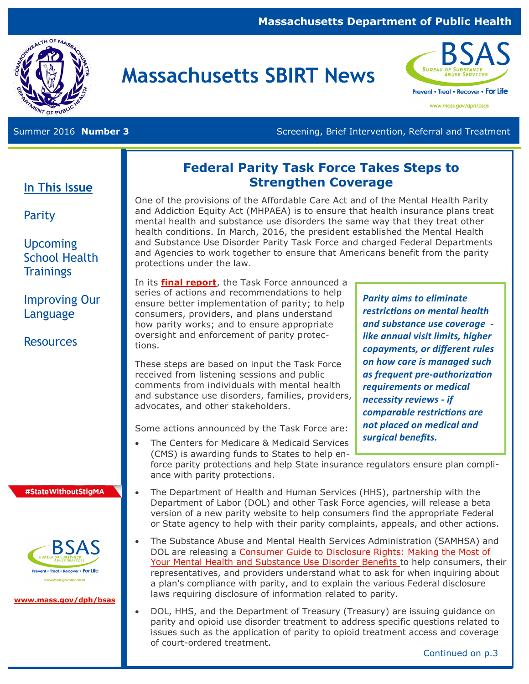#### **Massachusetts Department of Public Health**



# **Massachusetts SBIRT News**



www.mass.gov/dph/bsas

Summer 2016 **Number 3 Screening, Brief Intervention, Referral and Treatment** Screening, Brief Intervention, Referral and Treatment

#### **In This Issue**

Parity

#### **Upcoming** School Health **Trainings**

Improving Our Language

**Resources** 

#StateWithoutStigMA



**[www.mass.gov/dph/bsas](http://www.mass.gov/dph/bsas)**

#### **Federal Parity Task Force Takes Steps to Strengthen Coverage**

One of the provisions of the Affordable Care Act and of the Mental Health Parity and Addiction Equity Act (MHPAEA) is to ensure that health insurance plans treat mental health and substance use disorders the same way that they treat other health conditions. In March, 2016, the president established the Mental Health and Substance Use Disorder Parity Task Force and charged Federal Departments and Agencies to work together to ensure that Americans benefit from the parity protections under the law.

In its **[final report](http://www.hhs.gov/sites/default/files/mental-health-substance-use-disorder-parity-task-force-final-report.PDF)**, the Task Force announced a series of actions and recommendations to help ensure better implementation of parity; to help consumers, providers, and plans understand how parity works; and to ensure appropriate oversight and enforcement of parity protections.

These steps are based on input the Task Force received from listening sessions and public comments from individuals with mental health and substance use disorders, families, providers, advocates, and other stakeholders.

Some actions announced by the Task Force are:

The Centers for Medicare & Medicaid Services

*Parity aims to eliminate restrictions on mental health and substance use coverage like annual visit limits, higher copayments, or different rules on how care is managed such as frequent pre-authorization requirements or medical necessity reviews - if comparable restrictions are not placed on medical and surgical benefits.*

(CMS) is awarding funds to States to help enforce parity protections and help State insurance regulators ensure plan compliance with parity protections.

- The Department of Health and Human Services (HHS), partnership with the Department of Labor (DOL) and other Task Force agencies, will release a beta version of a new parity website to help consumers find the appropriate Federal or State agency to help with their parity complaints, appeals, and other actions.
- The Substance Abuse and Mental Health Services Administration (SAMHSA) and DOL are releasing a [Consumer Guide to Disclosure Rights: Making the Most of](http://store.samhsa.gov/product/Consumer-Guide-To-Disclosure-Rights-Making-The-Most-Of-Your-Mental-Health-and-Substance-Use-Disorder-Benefits/SMA16-4992)  [Your Mental Health and Substance Use Disorder Benefits](http://store.samhsa.gov/product/Consumer-Guide-To-Disclosure-Rights-Making-The-Most-Of-Your-Mental-Health-and-Substance-Use-Disorder-Benefits/SMA16-4992) to help consumers, their representatives, and providers understand what to ask for when inquiring about a plan's compliance with parity, and to explain the various Federal disclosure laws requiring disclosure of information related to parity.
	- DOL, HHS, and the Department of Treasury (Treasury) are issuing guidance on parity and opioid use disorder treatment to address specific questions related to issues such as the application of parity to opioid treatment access and coverage of court-ordered treatment.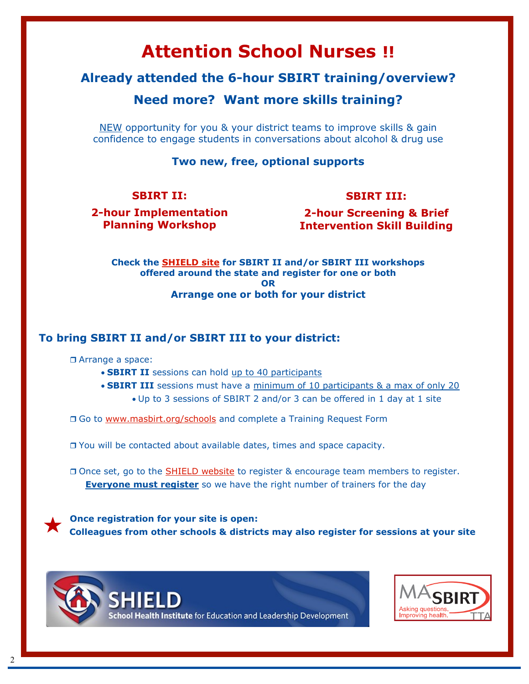## **Attention School Nurses !!**

#### **Already attended the 6-hour SBIRT training/overview?**

#### **Need more? Want more skills training?**

NEW opportunity for you & your district teams to improve skills & gain confidence to engage students in conversations about alcohol & drug use

#### **Two new, free, optional supports**

#### **SBIRT II:**

#### **SBIRT III:**

**2-hour Implementation Planning Workshop** 

**2-hour Screening & Brief Intervention Skill Building**

**Check the [SHIELD site](http://www.shield-bu.org/) for SBIRT II and/or SBIRT III workshops offered around the state and register for one or both OR Arrange one or both for your district** 

#### **To bring SBIRT II and/or SBIRT III to your district:**

**D** Arrange a space:

- **SBIRT II** sessions can hold up to 40 participants
- **SBIRT III** sessions must have a minimum of 10 participants & a max of only 20 Up to 3 sessions of SBIRT 2 and/or 3 can be offered in 1 day at 1 site

□ Go to [www.masbirt.org/schools](http://www.masbirt.org/schools) and complete a Training Request Form

You will be contacted about available dates, times and space capacity.

Once set, go to the **[SHIELD website](http://www.shield-bu.org/)** to register & encourage team members to register. **Everyone must register** so we have the right number of trainers for the day

 **Once registration for your site is open: Colleagues from other schools & districts may also register for sessions at your site**



chool Health Institute for Education and Leadership Development

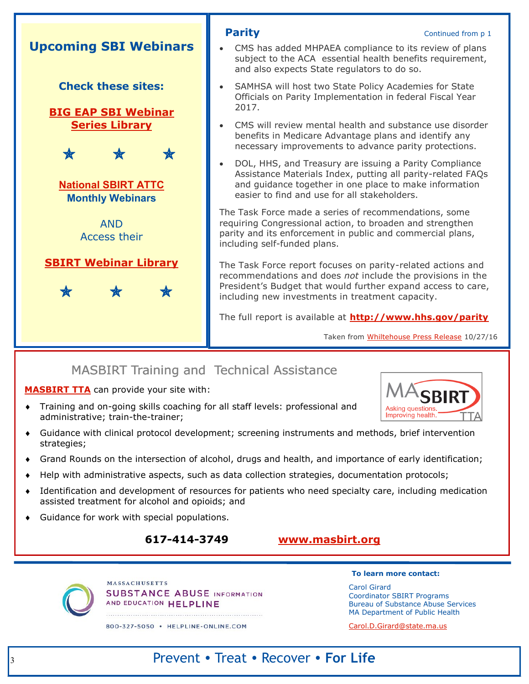

### MASBIRT Training and Technical Assistance

**[MASBIRT TTA](http://www.masbirt.org/)** can provide your site with:

- Training and on-going skills coaching for all staff levels: professional and administrative; train-the-trainer;
- Guidance with clinical protocol development; screening instruments and methods, brief intervention strategies;
- Grand Rounds on the intersection of alcohol, drugs and health, and importance of early identification;
- Help with administrative aspects, such as data collection strategies, documentation protocols;
- Identification and development of resources for patients who need specialty care, including medication assisted treatment for alcohol and opioids; and
- Guidance for work with special populations.

#### **617-414-3749 [www.masbirt.org](http://www.masbirt.org/)**



**MASSACHUSETTS SUBSTANCE ABUSE INFORMATION** AND EDUCATION HELPLINE

800-327-5050 · HELPLINE-ONLINE.COM

**To learn more contact:** 

Carol Girard Coordinator SBIRT Programs Bureau of Substance Abuse Services MA Department of Public Health

Improving health.

[Carol.D.Girard@state.ma.us](mailto:%20Carol.D.Girard@state.ma.us)

## Prevent • Treat • Recover • **For Life**